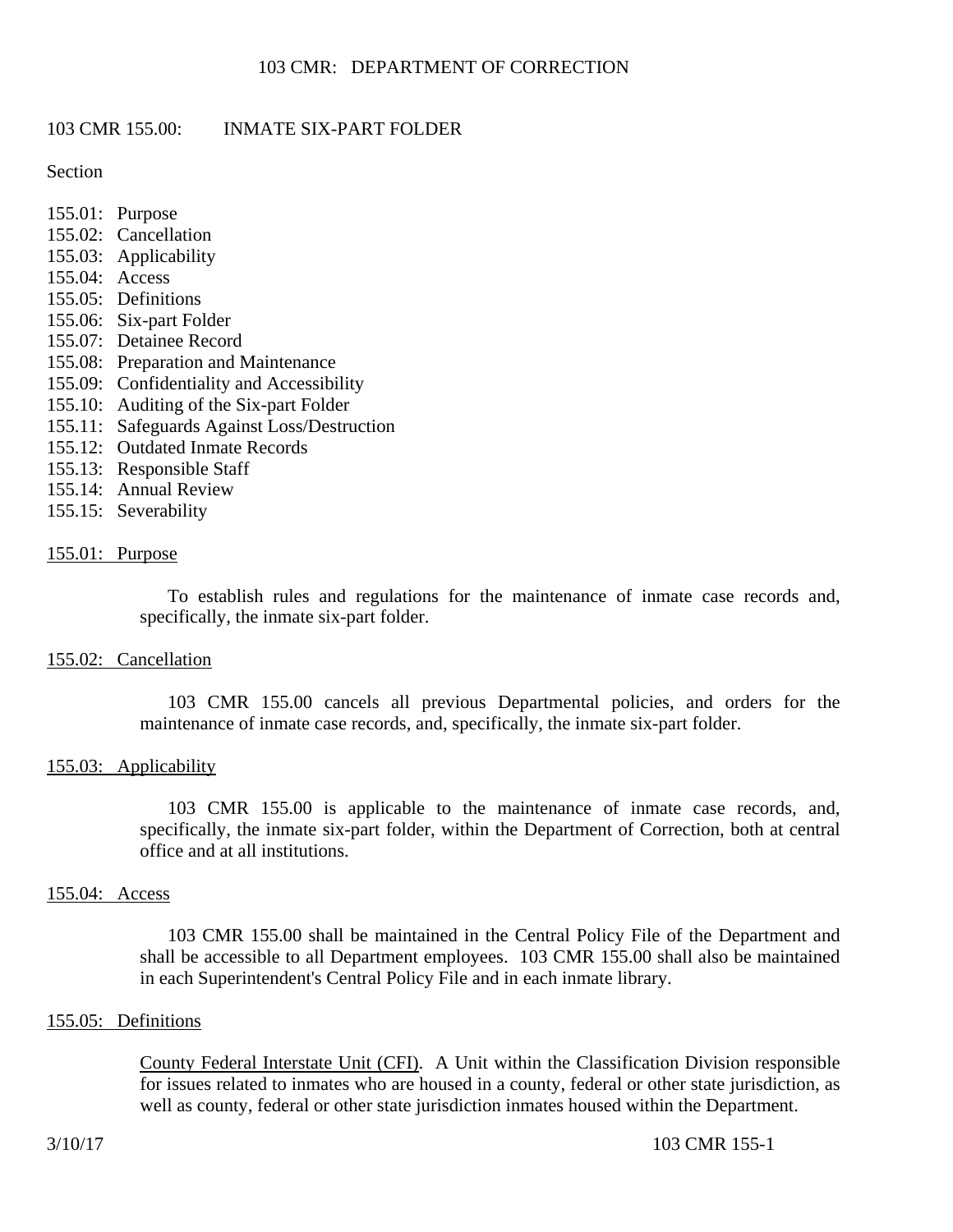# 103 CMR 155.00: INMATE SIX-PART FOLDER

Section

- 155.01: Purpose
- 155.02: Cancellation
- 155.03: Applicability
- 155.04: Access
- 155.05: Definitions
- 155.06: Six-part Folder
- 155.07: Detainee Record
- 155.08: Preparation and Maintenance
- 155.09: Confidentiality and Accessibility
- 155.10: Auditing of the Six-part Folder
- 155.11: Safeguards Against Loss/Destruction
- 155.12: Outdated Inmate Records
- 155.13: Responsible Staff
- 155.14: Annual Review
- 155.15: Severability

## 155.01: Purpose

To establish rules and regulations for the maintenance of inmate case records and, specifically, the inmate six-part folder.

## 155.02: Cancellation

103 CMR 155.00 cancels all previous Departmental policies, and orders for the maintenance of inmate case records, and, specifically, the inmate six-part folder.

## 155.03: Applicability

103 CMR 155.00 is applicable to the maintenance of inmate case records, and, specifically, the inmate six-part folder, within the Department of Correction, both at central office and at all institutions.

## 155.04: Access

103 CMR 155.00 shall be maintained in the Central Policy File of the Department and shall be accessible to all Department employees. 103 CMR 155.00 shall also be maintained in each Superintendent's Central Policy File and in each inmate library.

## 155.05: Definitions

County Federal Interstate Unit (CFI). A Unit within the Classification Division responsible for issues related to inmates who are housed in a county, federal or other state jurisdiction, as well as county, federal or other state jurisdiction inmates housed within the Department.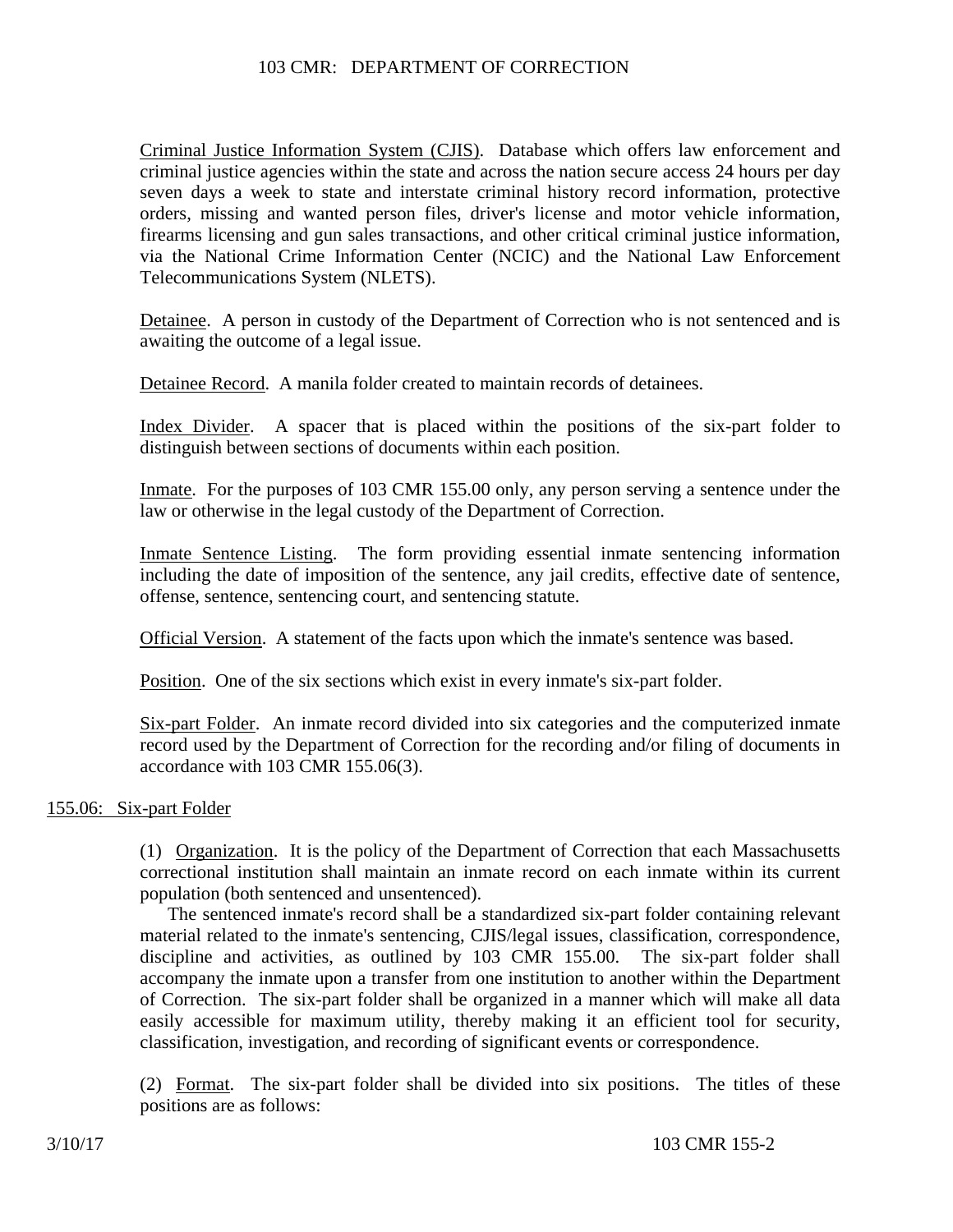# 103 CMR: DEPARTMENT OF CORRECTION

Criminal Justice Information System (CJIS). Database which offers law enforcement and criminal justice agencies within the state and across the nation secure access 24 hours per day seven days a week to state and interstate criminal history record information, protective orders, missing and wanted person files, driver's license and motor vehicle information, firearms licensing and gun sales transactions, and other critical criminal justice information, via the National Crime Information Center (NCIC) and the National Law Enforcement Telecommunications System (NLETS).

Detainee. A person in custody of the Department of Correction who is not sentenced and is awaiting the outcome of a legal issue.

Detainee Record. A manila folder created to maintain records of detainees.

Index Divider. A spacer that is placed within the positions of the six-part folder to distinguish between sections of documents within each position.

Inmate. For the purposes of 103 CMR 155.00 only, any person serving a sentence under the law or otherwise in the legal custody of the Department of Correction.

Inmate Sentence Listing. The form providing essential inmate sentencing information including the date of imposition of the sentence, any jail credits, effective date of sentence, offense, sentence, sentencing court, and sentencing statute.

Official Version. A statement of the facts upon which the inmate's sentence was based.

Position. One of the six sections which exist in every inmate's six-part folder.

Six-part Folder. An inmate record divided into six categories and the computerized inmate record used by the Department of Correction for the recording and/or filing of documents in accordance with 103 CMR 155.06(3).

## 155.06: Six-part Folder

(1) Organization. It is the policy of the Department of Correction that each Massachusetts correctional institution shall maintain an inmate record on each inmate within its current population (both sentenced and unsentenced).

The sentenced inmate's record shall be a standardized six-part folder containing relevant material related to the inmate's sentencing, CJIS/legal issues, classification, correspondence, discipline and activities, as outlined by 103 CMR 155.00. The six-part folder shall accompany the inmate upon a transfer from one institution to another within the Department of Correction. The six-part folder shall be organized in a manner which will make all data easily accessible for maximum utility, thereby making it an efficient tool for security, classification, investigation, and recording of significant events or correspondence.

(2) Format. The six-part folder shall be divided into six positions. The titles of these positions are as follows: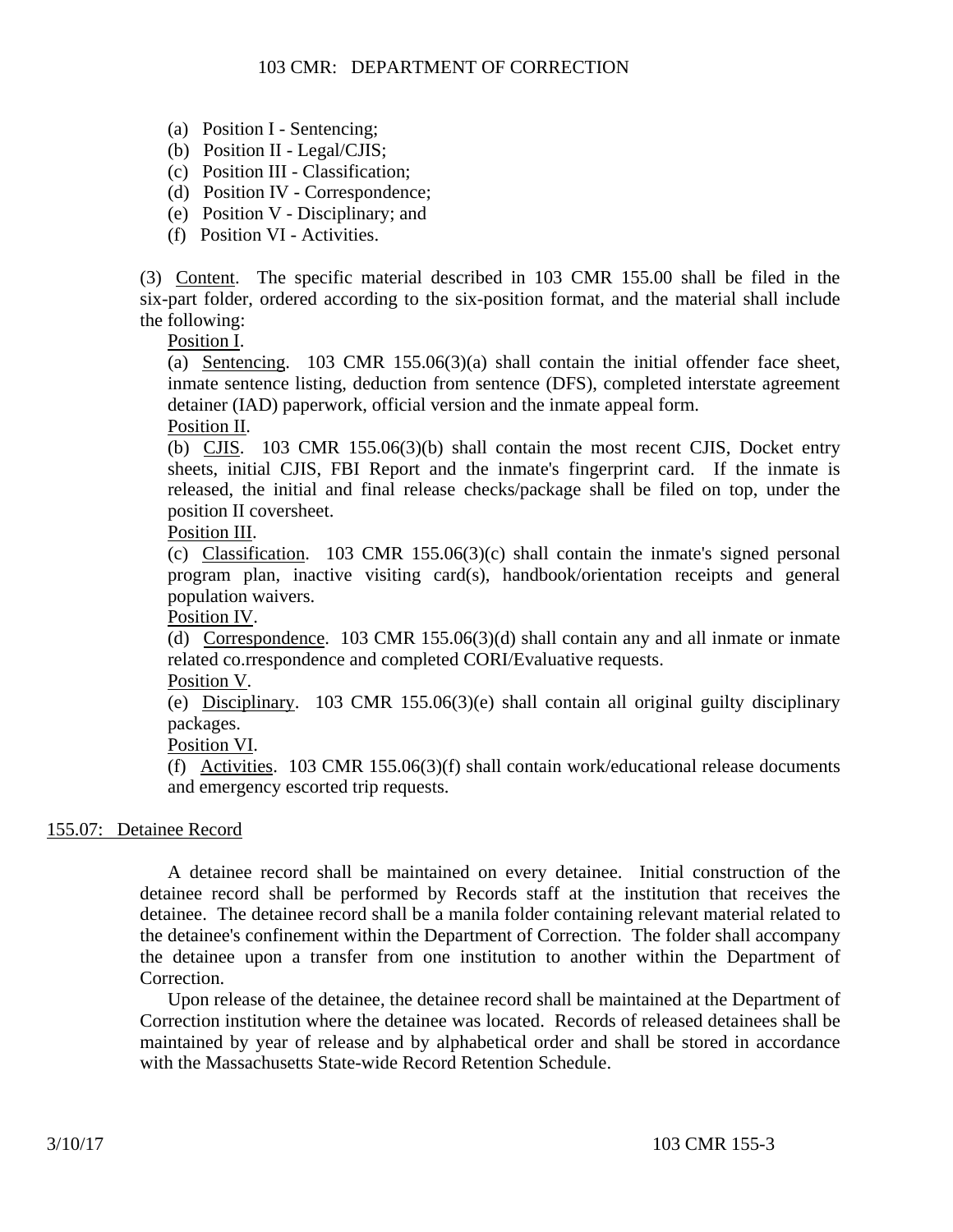- (a) Position I Sentencing;
- (b) Position II Legal/CJIS;
- (c) Position III Classification;
- (d) Position IV Correspondence;
- (e) Position V Disciplinary; and
- (f) Position VI Activities.

(3) Content. The specific material described in 103 CMR 155.00 shall be filed in the six-part folder, ordered according to the six-position format, and the material shall include the following:

Position I.

(a) Sentencing. 103 CMR 155.06(3)(a) shall contain the initial offender face sheet, inmate sentence listing, deduction from sentence (DFS), completed interstate agreement detainer (IAD) paperwork, official version and the inmate appeal form.

#### Position II.

(b) CJIS. 103 CMR 155.06(3)(b) shall contain the most recent CJIS, Docket entry sheets, initial CJIS, FBI Report and the inmate's fingerprint card. If the inmate is released, the initial and final release checks/package shall be filed on top, under the position II coversheet.

## Position III.

(c) Classification. 103 CMR 155.06(3)(c) shall contain the inmate's signed personal program plan, inactive visiting card(s), handbook/orientation receipts and general population waivers.

Position IV.

(d) Correspondence. 103 CMR 155.06(3)(d) shall contain any and all inmate or inmate related co.rrespondence and completed CORI/Evaluative requests.

#### Position V.

(e) Disciplinary. 103 CMR 155.06(3)(e) shall contain all original guilty disciplinary packages.

Position VI.

(f) Activities. 103 CMR 155.06(3)(f) shall contain work/educational release documents and emergency escorted trip requests.

## 155.07: Detainee Record

A detainee record shall be maintained on every detainee. Initial construction of the detainee record shall be performed by Records staff at the institution that receives the detainee. The detainee record shall be a manila folder containing relevant material related to the detainee's confinement within the Department of Correction. The folder shall accompany the detainee upon a transfer from one institution to another within the Department of Correction.

Upon release of the detainee, the detainee record shall be maintained at the Department of Correction institution where the detainee was located. Records of released detainees shall be maintained by year of release and by alphabetical order and shall be stored in accordance with the Massachusetts State-wide Record Retention Schedule.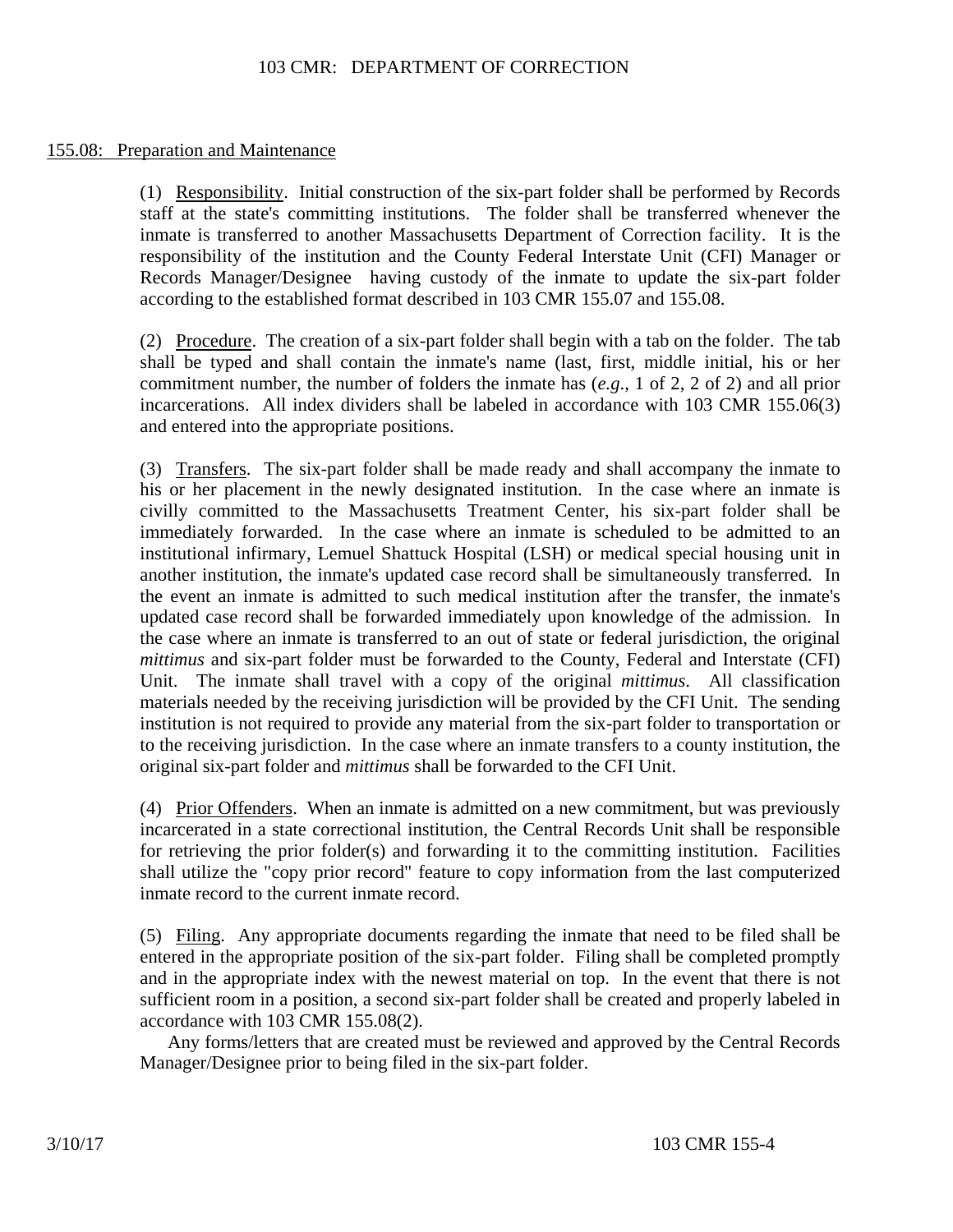## 155.08: Preparation and Maintenance

(1) Responsibility. Initial construction of the six-part folder shall be performed by Records staff at the state's committing institutions. The folder shall be transferred whenever the inmate is transferred to another Massachusetts Department of Correction facility. It is the responsibility of the institution and the County Federal Interstate Unit (CFI) Manager or Records Manager/Designee having custody of the inmate to update the six-part folder according to the established format described in 103 CMR 155.07 and 155.08.

(2) Procedure. The creation of a six-part folder shall begin with a tab on the folder. The tab shall be typed and shall contain the inmate's name (last, first, middle initial, his or her commitment number, the number of folders the inmate has (*e.g*., 1 of 2, 2 of 2) and all prior incarcerations. All index dividers shall be labeled in accordance with 103 CMR 155.06(3) and entered into the appropriate positions.

(3) Transfers. The six-part folder shall be made ready and shall accompany the inmate to his or her placement in the newly designated institution. In the case where an inmate is civilly committed to the Massachusetts Treatment Center, his six-part folder shall be immediately forwarded. In the case where an inmate is scheduled to be admitted to an institutional infirmary, Lemuel Shattuck Hospital (LSH) or medical special housing unit in another institution, the inmate's updated case record shall be simultaneously transferred. In the event an inmate is admitted to such medical institution after the transfer, the inmate's updated case record shall be forwarded immediately upon knowledge of the admission. In the case where an inmate is transferred to an out of state or federal jurisdiction, the original *mittimus* and six-part folder must be forwarded to the County, Federal and Interstate (CFI) Unit. The inmate shall travel with a copy of the original *mittimus*. All classification materials needed by the receiving jurisdiction will be provided by the CFI Unit. The sending institution is not required to provide any material from the six-part folder to transportation or to the receiving jurisdiction. In the case where an inmate transfers to a county institution, the original six-part folder and *mittimus* shall be forwarded to the CFI Unit.

(4) Prior Offenders. When an inmate is admitted on a new commitment, but was previously incarcerated in a state correctional institution, the Central Records Unit shall be responsible for retrieving the prior folder(s) and forwarding it to the committing institution. Facilities shall utilize the "copy prior record" feature to copy information from the last computerized inmate record to the current inmate record.

(5) Filing. Any appropriate documents regarding the inmate that need to be filed shall be entered in the appropriate position of the six-part folder. Filing shall be completed promptly and in the appropriate index with the newest material on top. In the event that there is not sufficient room in a position, a second six-part folder shall be created and properly labeled in accordance with 103 CMR 155.08(2).

Any forms/letters that are created must be reviewed and approved by the Central Records Manager/Designee prior to being filed in the six-part folder.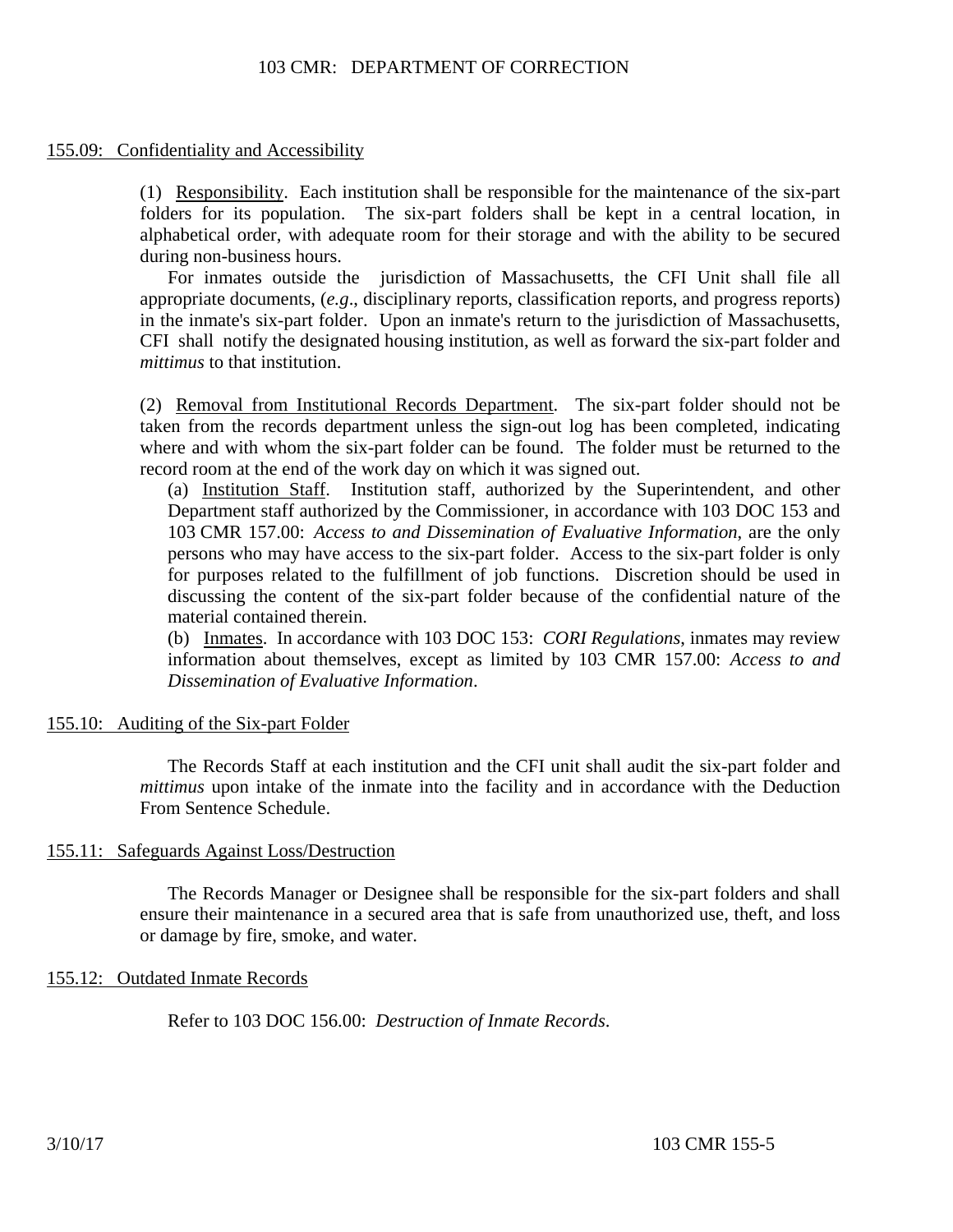## 103 CMR: DEPARTMENT OF CORRECTION

#### 155.09: Confidentiality and Accessibility

(1) Responsibility. Each institution shall be responsible for the maintenance of the six-part folders for its population. The six-part folders shall be kept in a central location, in alphabetical order, with adequate room for their storage and with the ability to be secured during non-business hours.

For inmates outside the jurisdiction of Massachusetts, the CFI Unit shall file all appropriate documents, (*e.g*., disciplinary reports, classification reports, and progress reports) in the inmate's six-part folder. Upon an inmate's return to the jurisdiction of Massachusetts, CFI shall notify the designated housing institution, as well as forward the six-part folder and *mittimus* to that institution.

(2) Removal from Institutional Records Department. The six-part folder should not be taken from the records department unless the sign-out log has been completed, indicating where and with whom the six-part folder can be found. The folder must be returned to the record room at the end of the work day on which it was signed out.

(a) Institution Staff. Institution staff, authorized by the Superintendent, and other Department staff authorized by the Commissioner, in accordance with 103 DOC 153 and 103 CMR 157.00: *Access to and Dissemination of Evaluative Information*, are the only persons who may have access to the six-part folder. Access to the six-part folder is only for purposes related to the fulfillment of job functions. Discretion should be used in discussing the content of the six-part folder because of the confidential nature of the material contained therein.

(b) Inmates. In accordance with 103 DOC 153: *CORI Regulations*, inmates may review information about themselves, except as limited by 103 CMR 157.00: *Access to and Dissemination of Evaluative Information*.

#### 155.10: Auditing of the Six-part Folder

The Records Staff at each institution and the CFI unit shall audit the six-part folder and *mittimus* upon intake of the inmate into the facility and in accordance with the Deduction From Sentence Schedule.

#### 155.11: Safeguards Against Loss/Destruction

The Records Manager or Designee shall be responsible for the six-part folders and shall ensure their maintenance in a secured area that is safe from unauthorized use, theft, and loss or damage by fire, smoke, and water.

#### 155.12: Outdated Inmate Records

Refer to 103 DOC 156.00: *Destruction of Inmate Records*.